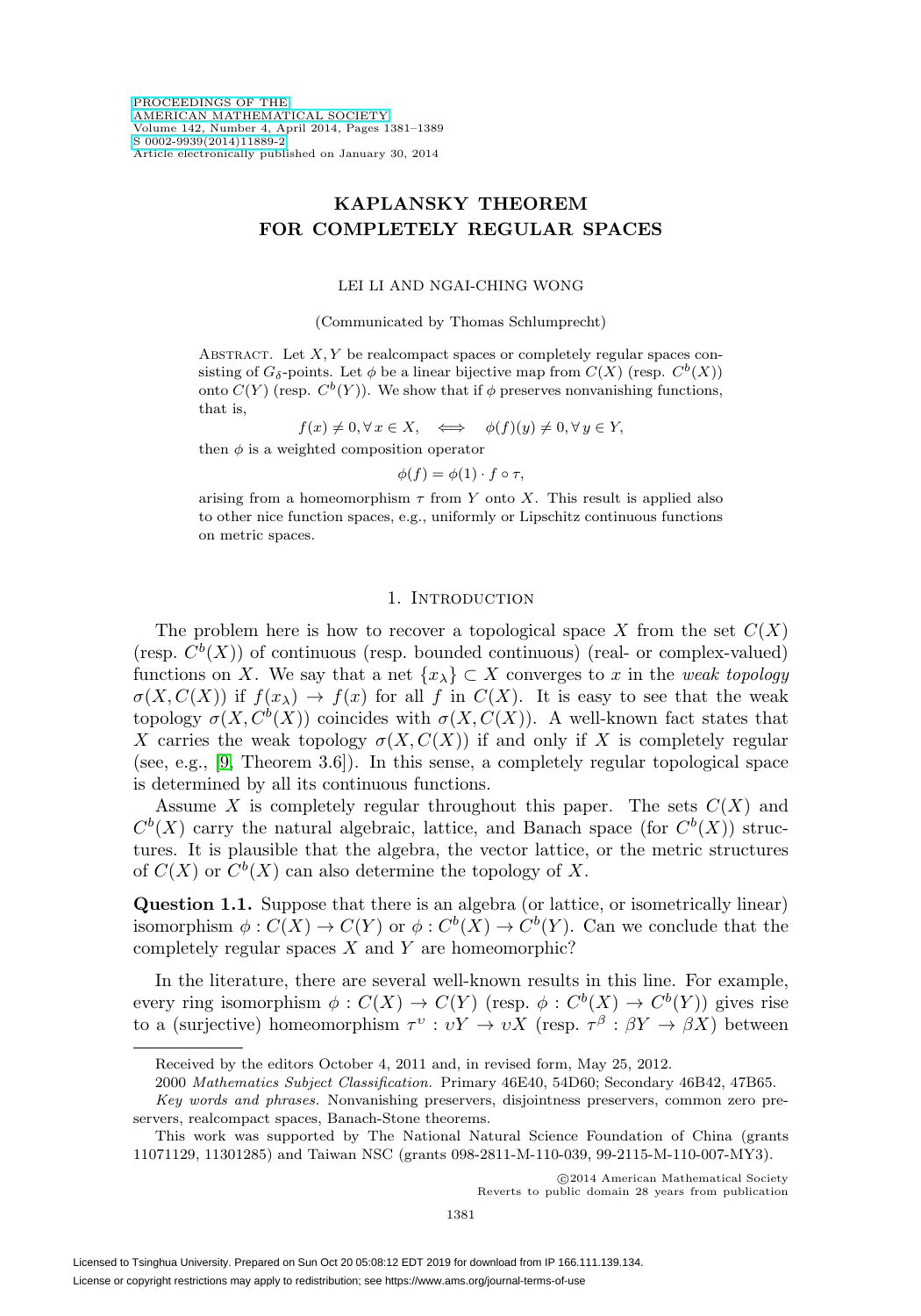# **KAPLANSKY THEOREM FOR COMPLETELY REGULAR SPACES**

### LEI LI AND NGAI-CHING WONG

(Communicated by Thomas Schlumprecht)

ABSTRACT. Let  $X, Y$  be realcompact spaces or completely regular spaces consisting of  $G_{\delta}$ -points. Let  $\phi$  be a linear bijective map from  $C(X)$  (resp.  $C^{b}(X)$ ) onto  $C(Y)$  (resp.  $C^b(Y)$ ). We show that if  $\phi$  preserves nonvanishing functions, that is,

$$
f(x) \neq 0, \forall x \in X, \iff \phi(f)(y) \neq 0, \forall y \in Y,
$$

then  $\phi$  is a weighted composition operator

$$
\phi(f) = \phi(1) \cdot f \circ \tau,
$$

arising from a homeomorphism  $\tau$  from Y onto X. This result is applied also to other nice function spaces, e.g., uniformly or Lipschitz continuous functions on metric spaces.

### 1. Introduction

The problem here is how to recover a topological space X from the set  $C(X)$ (resp.  $C^b(X)$ ) of continuous (resp. bounded continuous) (real- or complex-valued) functions on X. We say that a net  $\{x_{\lambda}\}\subset X$  converges to x in the weak topology  $\sigma(X, C(X))$  if  $f(x_\lambda) \to f(x)$  for all f in  $C(X)$ . It is easy to see that the weak topology  $\sigma(X, C^b(X))$  coincides with  $\sigma(X, C(X))$ . A well-known fact states that X carries the weak topology  $\sigma(X, C(X))$  if and only if X is completely regular (see, e.g., [\[9,](#page-8-0) Theorem 3.6]). In this sense, a completely regular topological space is determined by all its continuous functions.

Assume X is completely regular throughout this paper. The sets  $C(X)$  and  $C^{b}(X)$  carry the natural algebraic, lattice, and Banach space (for  $C^{b}(X)$ ) structures. It is plausible that the algebra, the vector lattice, or the metric structures of  $C(X)$  or  $C^{b}(X)$  can also determine the topology of X.

**Question 1.1.** Suppose that there is an algebra (or lattice, or isometrically linear) isomorphism  $\phi: C(X) \to C(Y)$  or  $\phi: C^b(X) \to C^b(Y)$ . Can we conclude that the completely regular spaces  $X$  and  $Y$  are homeomorphic?

In the literature, there are several well-known results in this line. For example, every ring isomorphism  $\phi : C(X) \to C(Y)$  (resp.  $\phi : C^b(X) \to C^b(Y)$ ) gives rise to a (surjective) homeomorphism  $\tau^v : vY \to vX$  (resp.  $\tau^{\beta} : \beta Y \to \beta X$ ) between

Received by the editors October 4, 2011 and, in revised form, May 25, 2012.

<sup>2000</sup> Mathematics Subject Classification. Primary 46E40, 54D60; Secondary 46B42, 47B65.

Key words and phrases. Nonvanishing preservers, disjointness preservers, common zero preservers, realcompact spaces, Banach-Stone theorems.

This work was supported by The National Natural Science Foundation of China (grants 11071129, 11301285) and Taiwan NSC (grants 098-2811-M-110-039, 99-2115-M-110-007-MY3).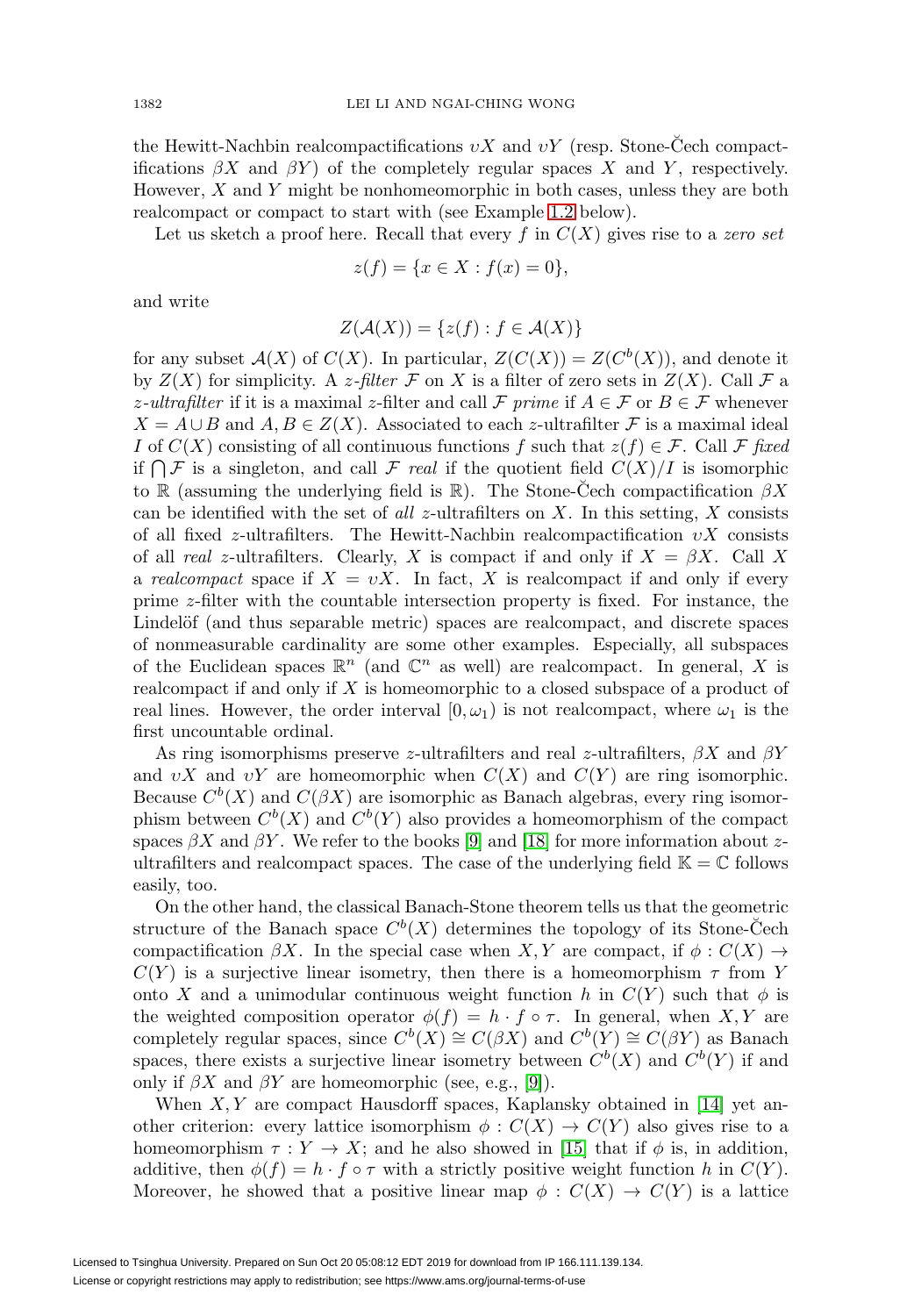the Hewitt-Nachbin realcompactifications  $vX$  and  $vY$  (resp. Stone-Cech compactifications  $\beta X$  and  $\beta Y$ ) of the completely regular spaces X and Y, respectively. However,  $X$  and  $Y$  might be nonhomeomorphic in both cases, unless they are both realcompact or compact to start with (see Example [1.2](#page-2-0) below).

Let us sketch a proof here. Recall that every f in  $C(X)$  gives rise to a zero set

$$
z(f) = \{ x \in X : f(x) = 0 \},\
$$

and write

$$
Z(\mathcal{A}(X)) = \{z(f) : f \in \mathcal{A}(X)\}
$$

for any subset  $\mathcal{A}(X)$  of  $C(X)$ . In particular,  $Z(C(X)) = Z(C^b(X))$ , and denote it by  $Z(X)$  for simplicity. A z-filter F on X is a filter of zero sets in  $Z(X)$ . Call F a z-ultrafilter if it is a maximal z-filter and call F prime if  $A \in \mathcal{F}$  or  $B \in \mathcal{F}$  whenever  $X = A \cup B$  and  $A, B \in Z(X)$ . Associated to each z-ultrafilter F is a maximal ideal I of  $C(X)$  consisting of all continuous functions f such that  $z(f) \in \mathcal{F}$ . Call  $\mathcal{F}$  fixed if  $\bigcap \mathcal{F}$  is a singleton, and call  $\mathcal{F}$  real if the quotient field  $C(X)/I$  is isomorphic to R (assuming the underlying field is R). The Stone-Cech compactification  $\beta X$ can be identified with the set of all z-ultrafilters on X. In this setting, X consists of all fixed z-ultrafilters. The Hewitt-Nachbin realcompactification  $vX$  consists of all real z-ultrafilters. Clearly, X is compact if and only if  $X = \beta X$ . Call X a realcompact space if  $X = vX$ . In fact, X is realcompact if and only if every prime z-filter with the countable intersection property is fixed. For instance, the Lindelöf (and thus separable metric) spaces are realcompact, and discrete spaces of nonmeasurable cardinality are some other examples. Especially, all subspaces of the Euclidean spaces  $\mathbb{R}^n$  (and  $\mathbb{C}^n$  as well) are realcompact. In general, X is realcompact if and only if X is homeomorphic to a closed subspace of a product of real lines. However, the order interval  $[0, \omega_1)$  is not realcompact, where  $\omega_1$  is the first uncountable ordinal.

As ring isomorphisms preserve z-ultrafilters and real z-ultrafilters,  $\beta X$  and  $\beta Y$ and  $vX$  and  $vY$  are homeomorphic when  $C(X)$  and  $C(Y)$  are ring isomorphic. Because  $C^b(X)$  and  $C(\beta X)$  are isomorphic as Banach algebras, every ring isomorphism between  $C^b(X)$  and  $C^b(Y)$  also provides a homeomorphism of the compact spaces  $\beta X$  and  $\beta Y$ . We refer to the books [\[9\]](#page-8-0) and [\[18\]](#page-8-1) for more information about zultrafilters and realcompact spaces. The case of the underlying field  $\mathbb{K} = \mathbb{C}$  follows easily, too.

On the other hand, the classical Banach-Stone theorem tells us that the geometric structure of the Banach space  $C^b(X)$  determines the topology of its Stone-Cech compactification  $\beta X$ . In the special case when X, Y are compact, if  $\phi : C(X) \rightarrow$  $C(Y)$  is a surjective linear isometry, then there is a homeomorphism  $\tau$  from Y onto X and a unimodular continuous weight function h in  $C(Y)$  such that  $\phi$  is the weighted composition operator  $\phi(f) = h \cdot f \circ \tau$ . In general, when X,Y are completely regular spaces, since  $C^b(X) \cong C(\beta X)$  and  $C^b(Y) \cong C(\beta Y)$  as Banach spaces, there exists a surjective linear isometry between  $C^b(X)$  and  $C^b(Y)$  if and only if  $\beta X$  and  $\beta Y$  are homeomorphic (see, e.g., [\[9\]](#page-8-0)).

When  $X, Y$  are compact Hausdorff spaces, Kaplansky obtained in [\[14\]](#page-8-2) yet another criterion: every lattice isomorphism  $\phi: C(X) \to C(Y)$  also gives rise to a homeomorphism  $\tau: Y \to X$ ; and he also showed in [\[15\]](#page-8-3) that if  $\phi$  is, in addition, additive, then  $\phi(f) = h \cdot f \circ \tau$  with a strictly positive weight function h in  $C(Y)$ . Moreover, he showed that a positive linear map  $\phi: C(X) \to C(Y)$  is a lattice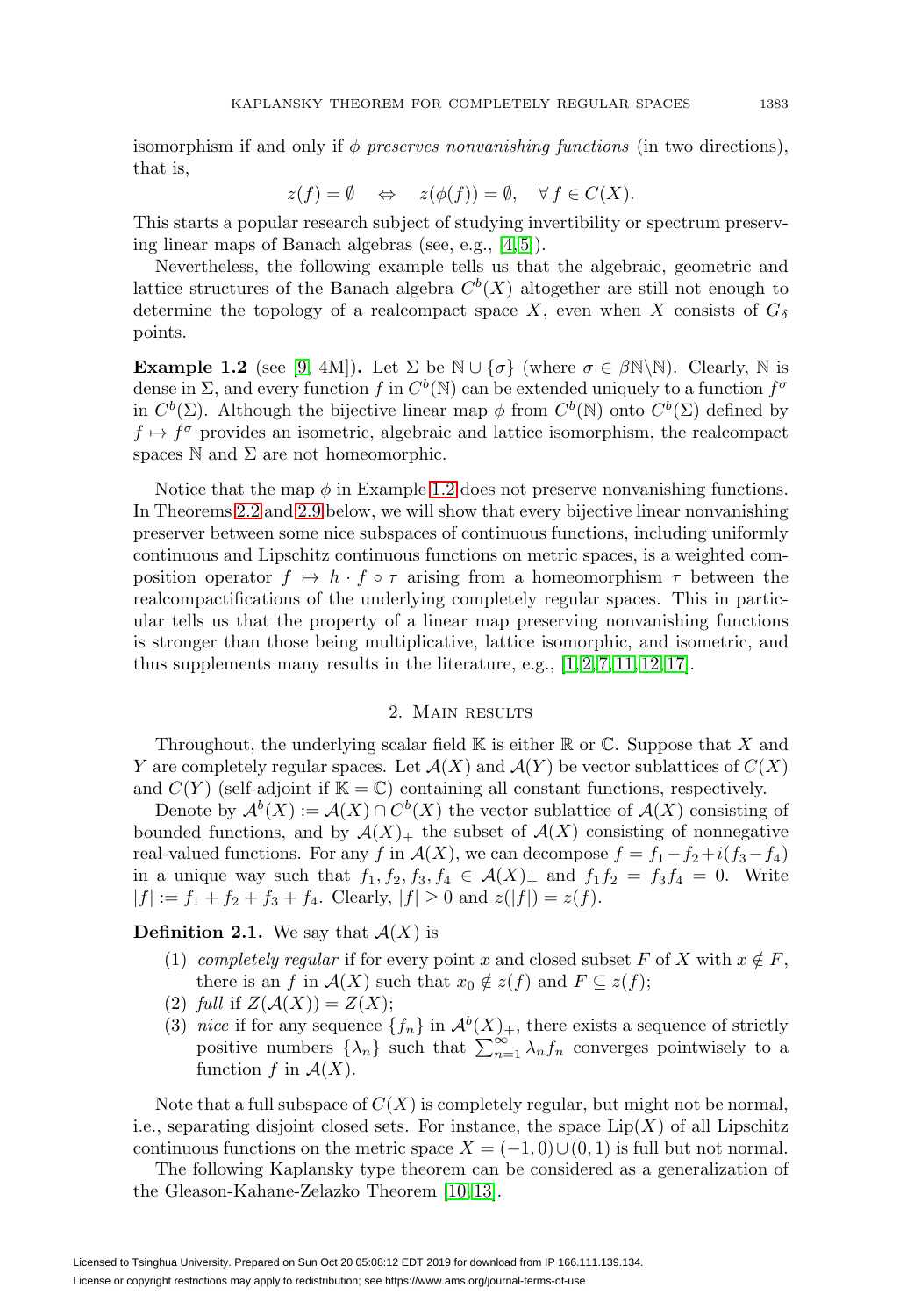isomorphism if and only if  $\phi$  preserves nonvanishing functions (in two directions), that is,

$$
z(f) = \emptyset \quad \Leftrightarrow \quad z(\phi(f)) = \emptyset, \quad \forall f \in C(X).
$$

This starts a popular research subject of studying invertibility or spectrum preserving linear maps of Banach algebras (see, e.g., [\[4,](#page-7-0) [5\]](#page-7-1)).

Nevertheless, the following example tells us that the algebraic, geometric and lattice structures of the Banach algebra  $C<sup>b</sup>(X)$  altogether are still not enough to determine the topology of a realcompact space X, even when X consists of  $G_{\delta}$ points.

<span id="page-2-0"></span>**Example 1.2** (see [\[9,](#page-8-0) 4M])**.** Let  $\Sigma$  be  $\mathbb{N} \cup \{\sigma\}$  (where  $\sigma \in \beta \mathbb{N} \setminus \mathbb{N}$ ). Clearly,  $\mathbb{N}$  is dense in  $\Sigma$ , and every function f in  $C^b(\mathbb{N})$  can be extended uniquely to a function  $f^{\sigma}$ in  $C^b(\Sigma)$ . Although the bijective linear map  $\phi$  from  $C^b(\mathbb{N})$  onto  $C^b(\Sigma)$  defined by  $f \mapsto f^{\sigma}$  provides an isometric, algebraic and lattice isomorphism, the realcompact spaces  $\mathbb N$  and  $\Sigma$  are not homeomorphic.

Notice that the map  $\phi$  in Example [1.2](#page-2-0) does not preserve nonvanishing functions. In Theorems [2.2](#page-3-0) and [2.9](#page-6-0) below, we will show that every bijective linear nonvanishing preserver between some nice subspaces of continuous functions, including uniformly continuous and Lipschitz continuous functions on metric spaces, is a weighted composition operator  $f \mapsto h \cdot f \circ \tau$  arising from a homeomorphism  $\tau$  between the realcompactifications of the underlying completely regular spaces. This in particular tells us that the property of a linear map preserving nonvanishing functions is stronger than those being multiplicative, lattice isomorphic, and isometric, and thus supplements many results in the literature, e.g.,  $[1, 2, 7, 11, 12, 17]$  $[1, 2, 7, 11, 12, 17]$  $[1, 2, 7, 11, 12, 17]$  $[1, 2, 7, 11, 12, 17]$  $[1, 2, 7, 11, 12, 17]$  $[1, 2, 7, 11, 12, 17]$ .

## 2. Main results

Throughout, the underlying scalar field  $\mathbb K$  is either  $\mathbb R$  or  $\mathbb C$ . Suppose that X and Y are completely regular spaces. Let  $\mathcal{A}(X)$  and  $\mathcal{A}(Y)$  be vector sublattices of  $C(X)$ and  $C(Y)$  (self-adjoint if  $\mathbb{K} = \mathbb{C}$ ) containing all constant functions, respectively.

Denote by  $\mathcal{A}^{b}(X) := \mathcal{A}(X) \cap C^{b}(X)$  the vector sublattice of  $\mathcal{A}(X)$  consisting of bounded functions, and by  $\mathcal{A}(X)_+$  the subset of  $\mathcal{A}(X)$  consisting of nonnegative real-valued functions. For any f in  $\mathcal{A}(X)$ , we can decompose  $f = f_1 - f_2 + i(f_3 - f_4)$ in a unique way such that  $f_1, f_2, f_3, f_4 \in \mathcal{A}(X)_+$  and  $f_1f_2 = f_3f_4 = 0$ . Write  $|f| := f_1 + f_2 + f_3 + f_4$ . Clearly,  $|f| \ge 0$  and  $z(|f|) = z(f)$ .

**Definition 2.1.** We say that  $\mathcal{A}(X)$  is

- (1) completely regular if for every point x and closed subset F of X with  $x \notin F$ , there is an f in  $\mathcal{A}(X)$  such that  $x_0 \notin z(f)$  and  $F \subseteq z(f)$ ;
- (2) full if  $Z(A(X)) = Z(X);$
- (3) nice if for any sequence  $\{f_n\}$  in  $\mathcal{A}^b(X)_+$ , there exists a sequence of strictly positive numbers  $\{\lambda_n\}$  such that  $\sum_{n=1}^{\infty} \lambda_n f_n$  converges pointwisely to a function f in  $\mathcal{A}(X)$ .

Note that a full subspace of  $C(X)$  is completely regular, but might not be normal, i.e., separating disjoint closed sets. For instance, the space  $\text{Lip}(X)$  of all Lipschitz continuous functions on the metric space  $X = (-1, 0) \cup (0, 1)$  is full but not normal.

The following Kaplansky type theorem can be considered as a generalization of the Gleason-Kahane-Zelazko Theorem [\[10,](#page-8-8) [13\]](#page-8-9).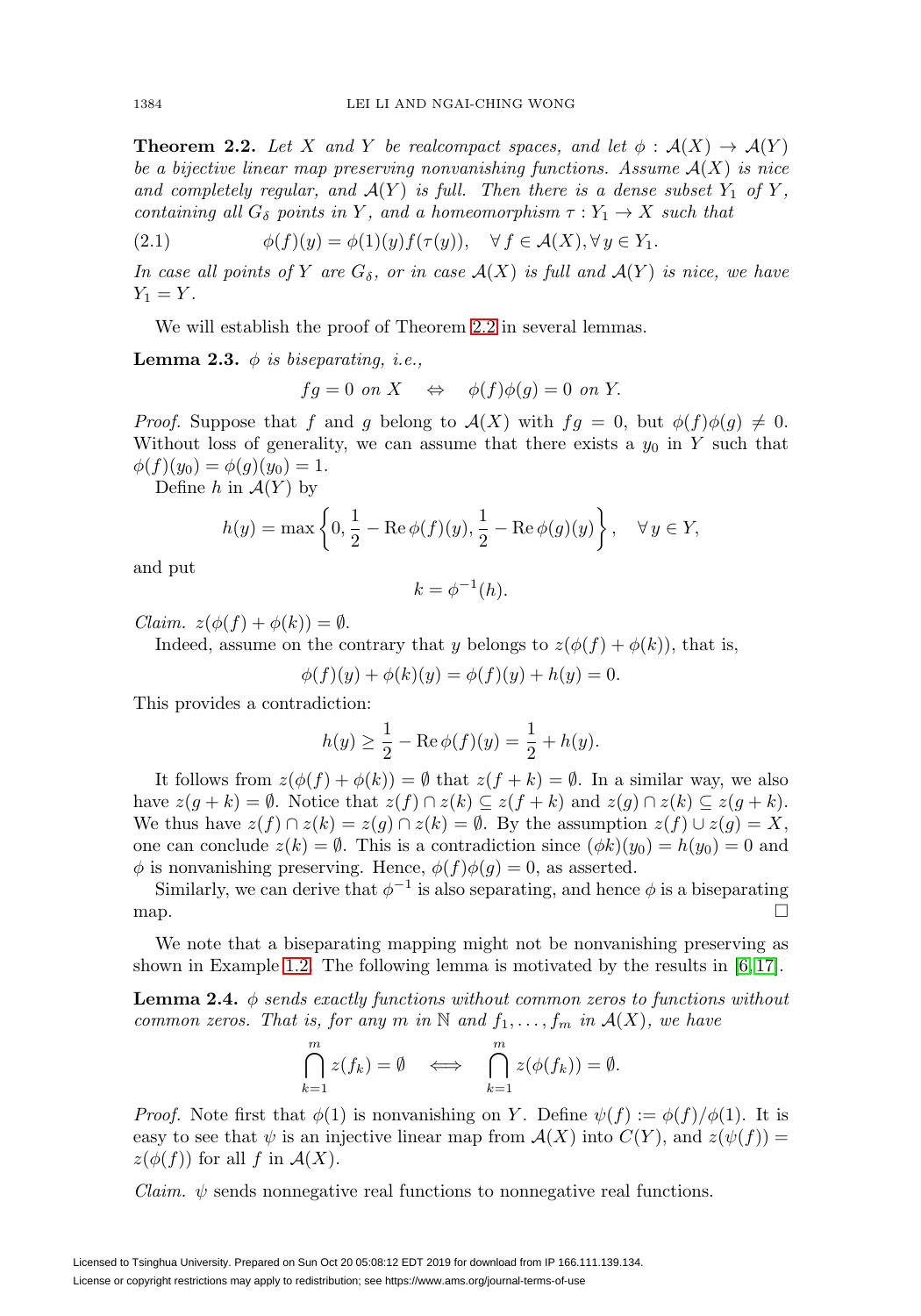<span id="page-3-0"></span>**Theorem 2.2.** Let X and Y be realcompact spaces, and let  $\phi : \mathcal{A}(X) \to \mathcal{A}(Y)$ be a bijective linear map preserving nonvanishing functions. Assume  $A(X)$  is nice and completely regular, and  $A(Y)$  is full. Then there is a dense subset  $Y_1$  of Y, containing all  $G_{\delta}$  points in Y, and a homeomorphism  $\tau: Y_1 \to X$  such that

<span id="page-3-3"></span>(2.1) 
$$
\phi(f)(y) = \phi(1)(y)f(\tau(y)), \quad \forall f \in \mathcal{A}(X), \forall y \in Y_1.
$$

In case all points of Y are  $G_{\delta}$ , or in case  $\mathcal{A}(X)$  is full and  $\mathcal{A}(Y)$  is nice, we have  $Y_1 = Y$ .

We will establish the proof of Theorem [2.2](#page-3-0) in several lemmas.

<span id="page-3-1"></span>**Lemma 2.3.**  $\phi$  is biseparating, i.e.,

$$
fg = 0 \text{ on } X \quad \Leftrightarrow \quad \phi(f)\phi(g) = 0 \text{ on } Y.
$$

*Proof.* Suppose that f and g belong to  $\mathcal{A}(X)$  with  $fg = 0$ , but  $\phi(f)\phi(g) \neq 0$ . Without loss of generality, we can assume that there exists a  $y_0$  in Y such that  $\phi(f)(y_0) = \phi(g)(y_0) = 1.$ 

Define h in  $\mathcal{A}(Y)$  by

$$
h(y) = \max\left\{0, \frac{1}{2} - \text{Re}\,\phi(f)(y), \frac{1}{2} - \text{Re}\,\phi(g)(y)\right\}, \quad \forall y \in Y,
$$

and put

$$
k = \phi^{-1}(h).
$$

Claim.  $z(\phi(f) + \phi(k)) = \emptyset$ .

Indeed, assume on the contrary that y belongs to  $z(\phi(f) + \phi(k))$ , that is,

 $\phi(f)(y) + \phi(k)(y) = \phi(f)(y) + h(y) = 0.$ 

This provides a contradiction:

$$
h(y) \ge \frac{1}{2} - \text{Re}\,\phi(f)(y) = \frac{1}{2} + h(y).
$$

It follows from  $z(\phi(f) + \phi(k)) = \emptyset$  that  $z(f + k) = \emptyset$ . In a similar way, we also have  $z(g + k) = \emptyset$ . Notice that  $z(f) \cap z(k) \subseteq z(f + k)$  and  $z(g) \cap z(k) \subseteq z(g + k)$ . We thus have  $z(f) \cap z(k) = z(g) \cap z(k) = \emptyset$ . By the assumption  $z(f) \cup z(g) = X$ , one can conclude  $z(k) = \emptyset$ . This is a contradiction since  $(\phi k)(y_0) = h(y_0) = 0$  and  $\phi$  is nonvanishing preserving. Hence,  $\phi(f)\phi(g) = 0$ , as asserted.

Similarly, we can derive that  $\phi^{-1}$  is also separating, and hence  $\phi$  is a biseparating map.  $\Box$ 

We note that a biseparating mapping might not be nonvanishing preserving as shown in Example [1.2.](#page-2-0) The following lemma is motivated by the results in [\[6,](#page-8-10) [17\]](#page-8-7).

<span id="page-3-2"></span>**Lemma 2.4.**  $\phi$  sends exactly functions without common zeros to functions without common zeros. That is, for any m in N and  $f_1, \ldots, f_m$  in  $\mathcal{A}(X)$ , we have

$$
\bigcap_{k=1}^{m} z(f_k) = \emptyset \iff \bigcap_{k=1}^{m} z(\phi(f_k)) = \emptyset.
$$

*Proof.* Note first that  $\phi(1)$  is nonvanishing on Y. Define  $\psi(f) := \phi(f)/\phi(1)$ . It is easy to see that  $\psi$  is an injective linear map from  $\mathcal{A}(X)$  into  $C(Y)$ , and  $z(\psi(f)) =$  $z(\phi(f))$  for all f in  $\mathcal{A}(X)$ .

*Claim.*  $\psi$  sends nonnegative real functions to nonnegative real functions.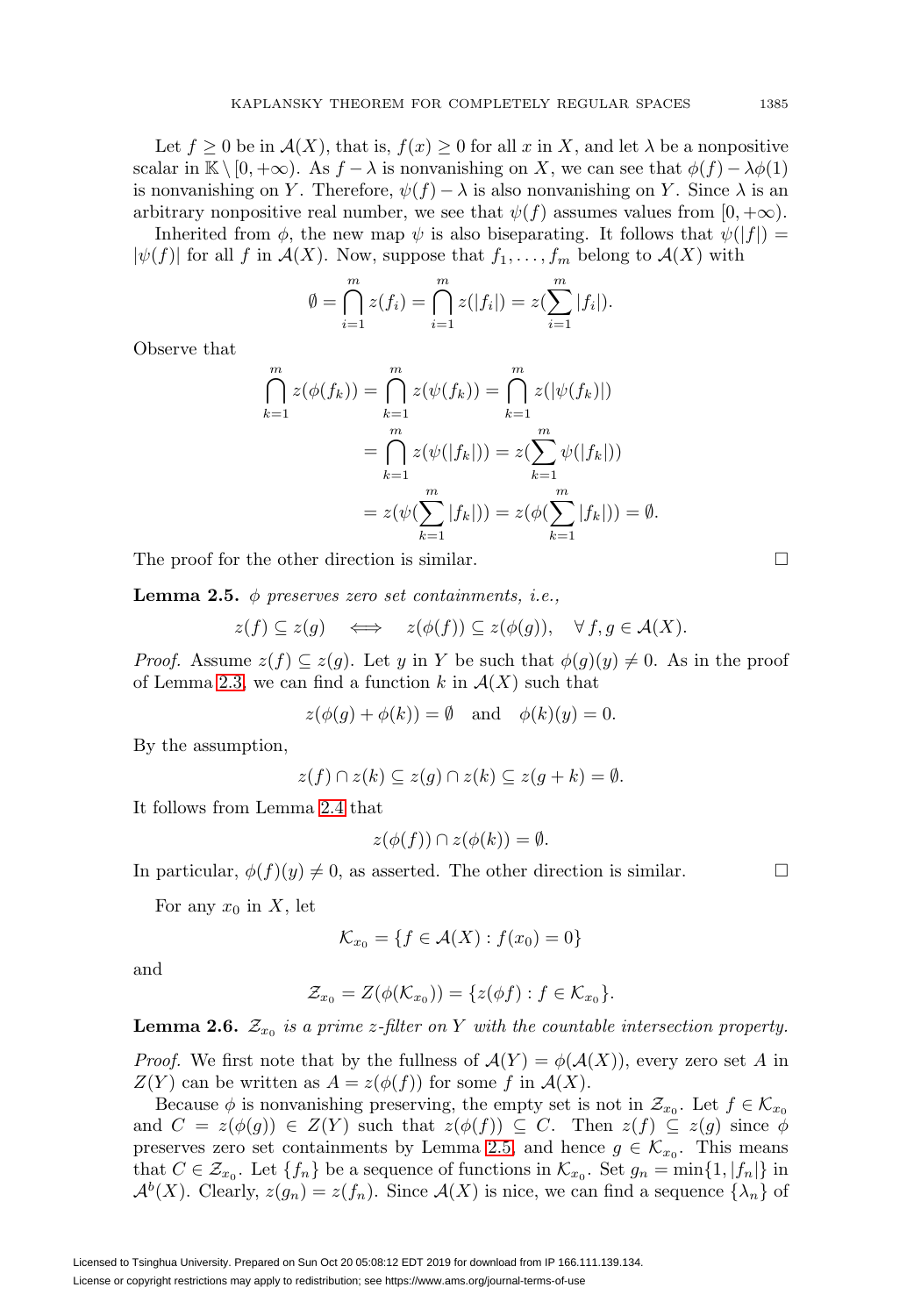Let  $f \geq 0$  be in  $\mathcal{A}(X)$ , that is,  $f(x) \geq 0$  for all x in X, and let  $\lambda$  be a nonpositive scalar in K  $\setminus [0, +\infty)$ . As  $f - \lambda$  is nonvanishing on X, we can see that  $\phi(f) - \lambda \phi(1)$ is nonvanishing on Y. Therefore,  $\psi(f) - \lambda$  is also nonvanishing on Y. Since  $\lambda$  is an arbitrary nonpositive real number, we see that  $\psi(f)$  assumes values from  $[0, +\infty)$ .

Inherited from  $\phi$ , the new map  $\psi$  is also biseparating. It follows that  $\psi(|f|) =$  $|\psi(f)|$  for all f in  $\mathcal{A}(X)$ . Now, suppose that  $f_1,\ldots,f_m$  belong to  $\mathcal{A}(X)$  with

$$
\emptyset = \bigcap_{i=1}^{m} z(f_i) = \bigcap_{i=1}^{m} z(|f_i|) = z(\sum_{i=1}^{m} |f_i|).
$$

Observe that

$$
\bigcap_{k=1}^{m} z(\phi(f_k)) = \bigcap_{k=1}^{m} z(\psi(f_k)) = \bigcap_{k=1}^{m} z(|\psi(f_k)|)
$$
  
= 
$$
\bigcap_{k=1}^{m} z(\psi(|f_k|)) = z(\sum_{k=1}^{m} \psi(|f_k|))
$$
  
= 
$$
z(\psi(\sum_{k=1}^{m} |f_k|)) = z(\phi(\sum_{k=1}^{m} |f_k|)) = \emptyset.
$$

The proof for the other direction is similar.

<span id="page-4-0"></span>**Lemma 2.5.**  $\phi$  preserves zero set containments, i.e.,

$$
z(f) \subseteq z(g) \iff z(\phi(f)) \subseteq z(\phi(g)), \forall f, g \in \mathcal{A}(X).
$$

*Proof.* Assume  $z(f) \subseteq z(g)$ . Let y in Y be such that  $\phi(g)(y) \neq 0$ . As in the proof of Lemma [2.3,](#page-3-1) we can find a function k in  $\mathcal{A}(X)$  such that

 $z(\phi(g) + \phi(k)) = \emptyset$  and  $\phi(k)(y) = 0$ .

By the assumption,

$$
z(f) \cap z(k) \subseteq z(g) \cap z(k) \subseteq z(g+k) = \emptyset.
$$

It follows from Lemma [2.4](#page-3-2) that

$$
z(\phi(f)) \cap z(\phi(k)) = \emptyset.
$$

In particular,  $\phi(f)(y) \neq 0$ , as asserted. The other direction is similar.

For any  $x_0$  in X, let

$$
\mathcal{K}_{x_0} = \{ f \in \mathcal{A}(X) : f(x_0) = 0 \}
$$

and

$$
\mathcal{Z}_{x_0} = Z(\phi(\mathcal{K}_{x_0})) = \{ z(\phi f) : f \in \mathcal{K}_{x_0} \}.
$$

<span id="page-4-1"></span>**Lemma 2.6.**  $\mathcal{Z}_{x_0}$  is a prime z-filter on Y with the countable intersection property.

*Proof.* We first note that by the fullness of  $\mathcal{A}(Y) = \phi(\mathcal{A}(X))$ , every zero set A in  $Z(Y)$  can be written as  $A = z(\phi(f))$  for some f in  $\mathcal{A}(X)$ .

Because  $\phi$  is nonvanishing preserving, the empty set is not in  $\mathcal{Z}_{x_0}$ . Let  $f \in \mathcal{K}_{x_0}$ and  $C = z(\phi(g)) \in Z(Y)$  such that  $z(\phi(f)) \subseteq C$ . Then  $z(f) \subseteq z(g)$  since  $\phi$ preserves zero set containments by Lemma [2.5,](#page-4-0) and hence  $g \in \mathcal{K}_{x_0}$ . This means that  $C \in \mathcal{Z}_{x_0}$ . Let  $\{f_n\}$  be a sequence of functions in  $\mathcal{K}_{x_0}$ . Set  $g_n = \min\{1, |f_n|\}$  in  $\mathcal{A}^{b}(X)$ . Clearly,  $z(g_n) = z(f_n)$ . Since  $\mathcal{A}(X)$  is nice, we can find a sequence  $\{\lambda_n\}$  of

 $\Box$ 

 $\Box$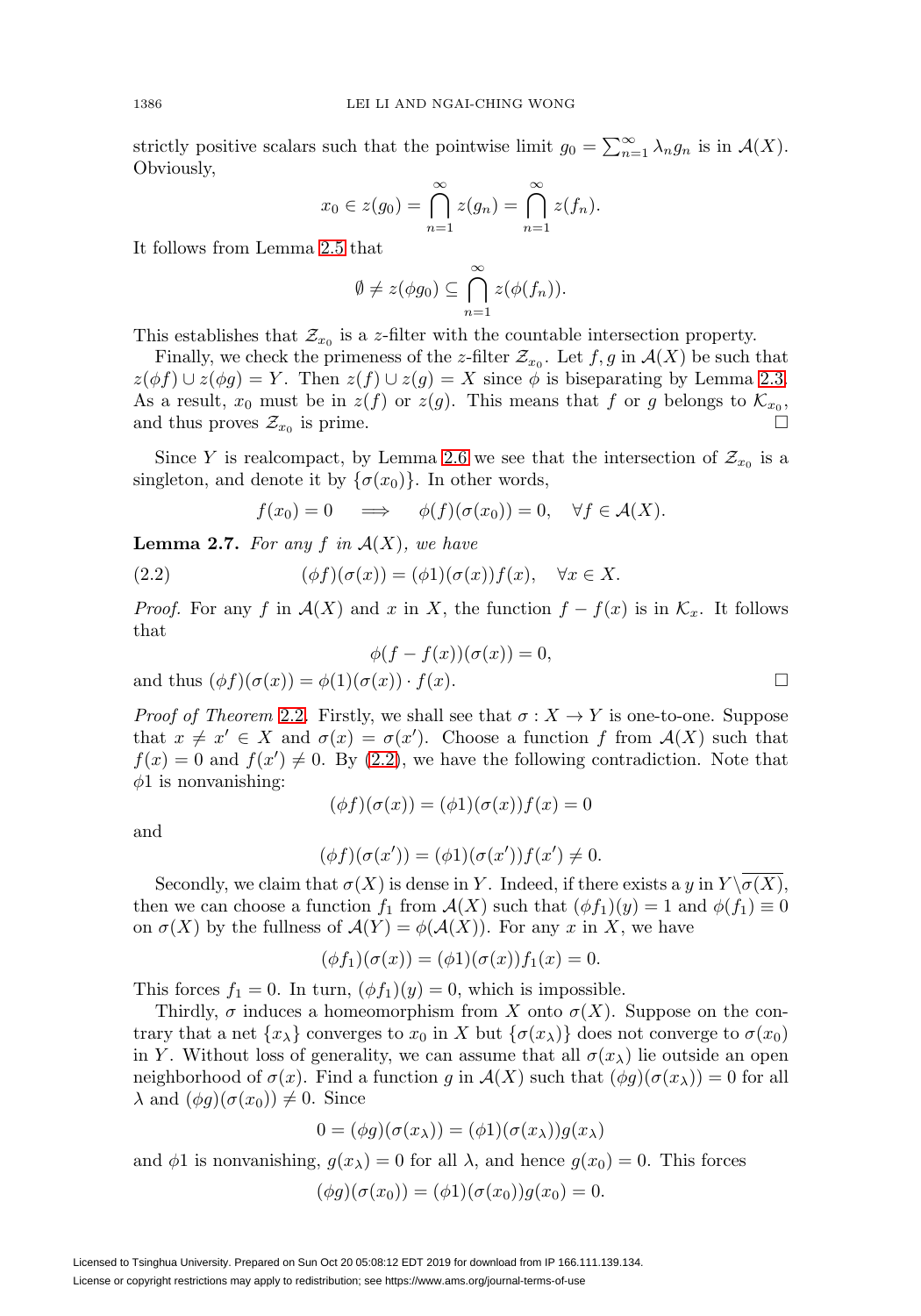strictly positive scalars such that the pointwise limit  $g_0 = \sum_{n=1}^{\infty} \lambda_n g_n$  is in  $\mathcal{A}(X)$ . Obviously,

$$
x_0 \in z(g_0) = \bigcap_{n=1}^{\infty} z(g_n) = \bigcap_{n=1}^{\infty} z(f_n).
$$

It follows from Lemma [2.5](#page-4-0) that

$$
\emptyset \neq z(\phi g_0) \subseteq \bigcap_{n=1}^{\infty} z(\phi(f_n)).
$$

This establishes that  $\mathcal{Z}_{x_0}$  is a z-filter with the countable intersection property.

Finally, we check the primeness of the z-filter  $\mathcal{Z}_{x_0}$ . Let  $f, g$  in  $\mathcal{A}(X)$  be such that  $z(\phi f) \cup z(\phi g) = Y$ . Then  $z(f) \cup z(g) = X$  since  $\phi$  is biseparating by Lemma [2.3.](#page-3-1) As a result,  $x_0$  must be in  $z(f)$  or  $z(g)$ . This means that f or g belongs to  $\mathcal{K}_{x_0}$ , and thus proves  $\mathcal{Z}_{x_0}$  is prime.  $\Box$ 

Since Y is realcompact, by Lemma [2.6](#page-4-1) we see that the intersection of  $\mathcal{Z}_{x_0}$  is a singleton, and denote it by  $\{\sigma(x_0)\}\$ . In other words,

$$
f(x_0) = 0 \quad \implies \quad \phi(f)(\sigma(x_0)) = 0, \quad \forall f \in \mathcal{A}(X).
$$

**Lemma 2.7.** For any  $f$  in  $A(X)$ , we have

<span id="page-5-0"></span>(2.2) 
$$
(\phi f)(\sigma(x)) = (\phi 1)(\sigma(x))f(x), \quad \forall x \in X.
$$

*Proof.* For any f in  $\mathcal{A}(X)$  and x in X, the function  $f - f(x)$  is in  $\mathcal{K}_x$ . It follows that

$$
\phi(f - f(x))(\sigma(x)) = 0,
$$
  
and thus  $(\phi f)(\sigma(x)) = \phi(1)(\sigma(x)) \cdot f(x)$ .

*Proof of Theorem [2.2](#page-3-0).* Firstly, we shall see that  $\sigma : X \to Y$  is one-to-one. Suppose that  $x \neq x' \in X$  and  $\sigma(x) = \sigma(x')$ . Choose a function f from  $\mathcal{A}(X)$  such that  $f(x) = 0$  and  $f(x') \neq 0$ . By [\(2.2\)](#page-5-0), we have the following contradiction. Note that  $\phi$ 1 is nonvanishing:

$$
(\phi f)(\sigma(x)) = (\phi 1)(\sigma(x))f(x) = 0
$$

and

$$
(\phi f)(\sigma(x')) = (\phi 1)(\sigma(x'))f(x') \neq 0.
$$

Secondly, we claim that  $\sigma(X)$  is dense in Y. Indeed, if there exists a y in  $Y \setminus \overline{\sigma(X)}$ , then we can choose a function  $f_1$  from  $\mathcal{A}(X)$  such that  $(\phi f_1)(y) = 1$  and  $\phi(f_1) \equiv 0$ on  $\sigma(X)$  by the fullness of  $\mathcal{A}(Y) = \phi(\mathcal{A}(X))$ . For any x in X, we have

$$
(\phi f_1)(\sigma(x)) = (\phi 1)(\sigma(x))f_1(x) = 0.
$$

This forces  $f_1 = 0$ . In turn,  $(\phi f_1)(y) = 0$ , which is impossible.

Thirdly,  $\sigma$  induces a homeomorphism from X onto  $\sigma(X)$ . Suppose on the contrary that a net  $\{x_{\lambda}\}\$ converges to  $x_0$  in X but  $\{\sigma(x_{\lambda})\}\$ does not converge to  $\sigma(x_0)$ in Y. Without loss of generality, we can assume that all  $\sigma(x_\lambda)$  lie outside an open neighborhood of  $\sigma(x)$ . Find a function g in  $\mathcal{A}(X)$  such that  $(\phi g)(\sigma(x_{\lambda})) = 0$  for all  $\lambda$  and  $(\phi g)(\sigma(x_0)) \neq 0$ . Since

$$
0 = (\phi g)(\sigma(x_\lambda)) = (\phi 1)(\sigma(x_\lambda))g(x_\lambda)
$$

and  $\phi$ 1 is nonvanishing,  $g(x_\lambda) = 0$  for all  $\lambda$ , and hence  $g(x_0) = 0$ . This forces

$$
(\phi g)(\sigma(x_0)) = (\phi 1)(\sigma(x_0))g(x_0) = 0.
$$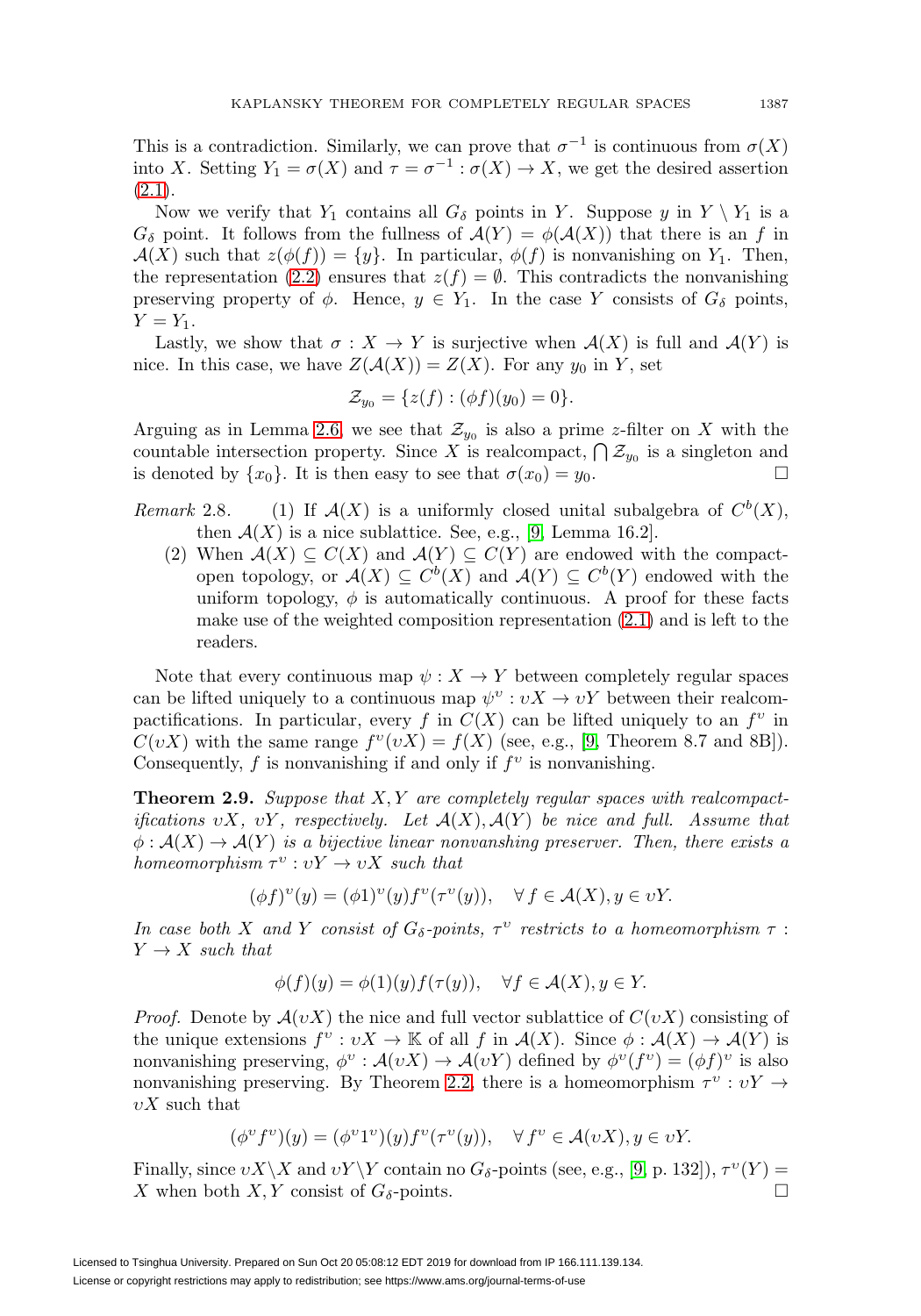This is a contradiction. Similarly, we can prove that  $\sigma^{-1}$  is continuous from  $\sigma(X)$ into X. Setting  $Y_1 = \sigma(X)$  and  $\tau = \sigma^{-1} : \sigma(X) \to X$ , we get the desired assertion  $(2.1).$  $(2.1).$ 

Now we verify that  $Y_1$  contains all  $G_{\delta}$  points in Y. Suppose y in  $Y \setminus Y_1$  is a  $G_{\delta}$  point. It follows from the fullness of  $\mathcal{A}(Y) = \phi(\mathcal{A}(X))$  that there is an f in  $\mathcal{A}(X)$  such that  $z(\phi(f)) = \{y\}$ . In particular,  $\phi(f)$  is nonvanishing on  $Y_1$ . Then, the representation [\(2.2\)](#page-5-0) ensures that  $z(f) = \emptyset$ . This contradicts the nonvanishing preserving property of  $\phi$ . Hence,  $y \in Y_1$ . In the case Y consists of  $G_{\delta}$  points,  $Y = Y_1$ .

Lastly, we show that  $\sigma : X \to Y$  is surjective when  $\mathcal{A}(X)$  is full and  $\mathcal{A}(Y)$  is nice. In this case, we have  $Z(\mathcal{A}(X)) = Z(X)$ . For any  $y_0$  in Y, set

$$
\mathcal{Z}_{y_0} = \{ z(f) : (\phi f)(y_0) = 0 \}.
$$

Arguing as in Lemma [2.6,](#page-4-1) we see that  $\mathcal{Z}_{y_0}$  is also a prime z-filter on X with the countable intersection property. Since X is realcompact,  $\bigcap \mathcal{Z}_{y_0}$  is a singleton and is denoted by  $\{x_0\}$ . It is then easy to see that  $\sigma(x_0) = y_0$ .

- Remark 2.8. (1) If  $\mathcal{A}(X)$  is a uniformly closed unital subalgebra of  $C^b(X)$ , then  $\mathcal{A}(X)$  is a nice sublattice. See, e.g., [\[9,](#page-8-0) Lemma 16.2].
	- (2) When  $\mathcal{A}(X) \subseteq C(X)$  and  $\mathcal{A}(Y) \subseteq C(Y)$  are endowed with the compactopen topology, or  $\mathcal{A}(X) \subseteq C^b(X)$  and  $\mathcal{A}(Y) \subseteq C^b(Y)$  endowed with the uniform topology,  $\phi$  is automatically continuous. A proof for these facts make use of the weighted composition representation  $(2.1)$  and is left to the readers.

Note that every continuous map  $\psi: X \to Y$  between completely regular spaces can be lifted uniquely to a continuous map  $\psi^v : vX \to vY$  between their realcompactifications. In particular, every f in  $C(X)$  can be lifted uniquely to an  $f^v$  in  $C(vX)$  with the same range  $f^{v}(vX) = f(X)$  (see, e.g., [\[9,](#page-8-0) Theorem 8.7 and 8B]). Consequently, f is nonvanishing if and only if  $f^v$  is nonvanishing.

<span id="page-6-0"></span>**Theorem 2.9.** Suppose that X, Y are completely regular spaces with realcompactifications vX, vY, respectively. Let  $\mathcal{A}(X), \mathcal{A}(Y)$  be nice and full. Assume that  $\phi: \mathcal{A}(X) \to \mathcal{A}(Y)$  is a bijective linear nonvanshing preserver. Then, there exists a homeomorphism  $\tau^v : vY \to vX$  such that

$$
(\phi f)^{\nu}(y) = (\phi 1)^{\nu}(y) f^{\nu}(\tau^{\nu}(y)), \quad \forall f \in \mathcal{A}(X), y \in \nu Y.
$$

In case both X and Y consist of  $G_{\delta}$ -points,  $\tau^{v}$  restricts to a homeomorphism  $\tau$  :  $Y \rightarrow X$  such that

$$
\phi(f)(y) = \phi(1)(y)f(\tau(y)), \quad \forall f \in \mathcal{A}(X), y \in Y.
$$

*Proof.* Denote by  $\mathcal{A}(vX)$  the nice and full vector sublattice of  $C(vX)$  consisting of the unique extensions  $f^v : vX \to \mathbb{K}$  of all f in  $\mathcal{A}(X)$ . Since  $\phi : \mathcal{A}(X) \to \mathcal{A}(Y)$  is nonvanishing preserving,  $\phi^v : \mathcal{A}(vX) \to \mathcal{A}(vY)$  defined by  $\phi^v(f^v) = (\phi f)^v$  is also nonvanishing preserving. By Theorem [2.2,](#page-3-0) there is a homeomorphism  $\tau^v : vY \rightarrow$  $vX$  such that

$$
(\phi^v f^v)(y)=(\phi^v1^v)(y)f^v(\tau^v(y)),\quad \forall\, f^v\in\mathcal{A}(vX), y\in vY.
$$

Finally, since  $vX\backslash X$  and  $vY\backslash Y$  contain no  $G_{\delta}$ -points (see, e.g., [\[9,](#page-8-0) p. 132]),  $\tau^v(Y)$  = X when both  $X, Y$  consist of  $G_{\delta}$ -points.  $\Box$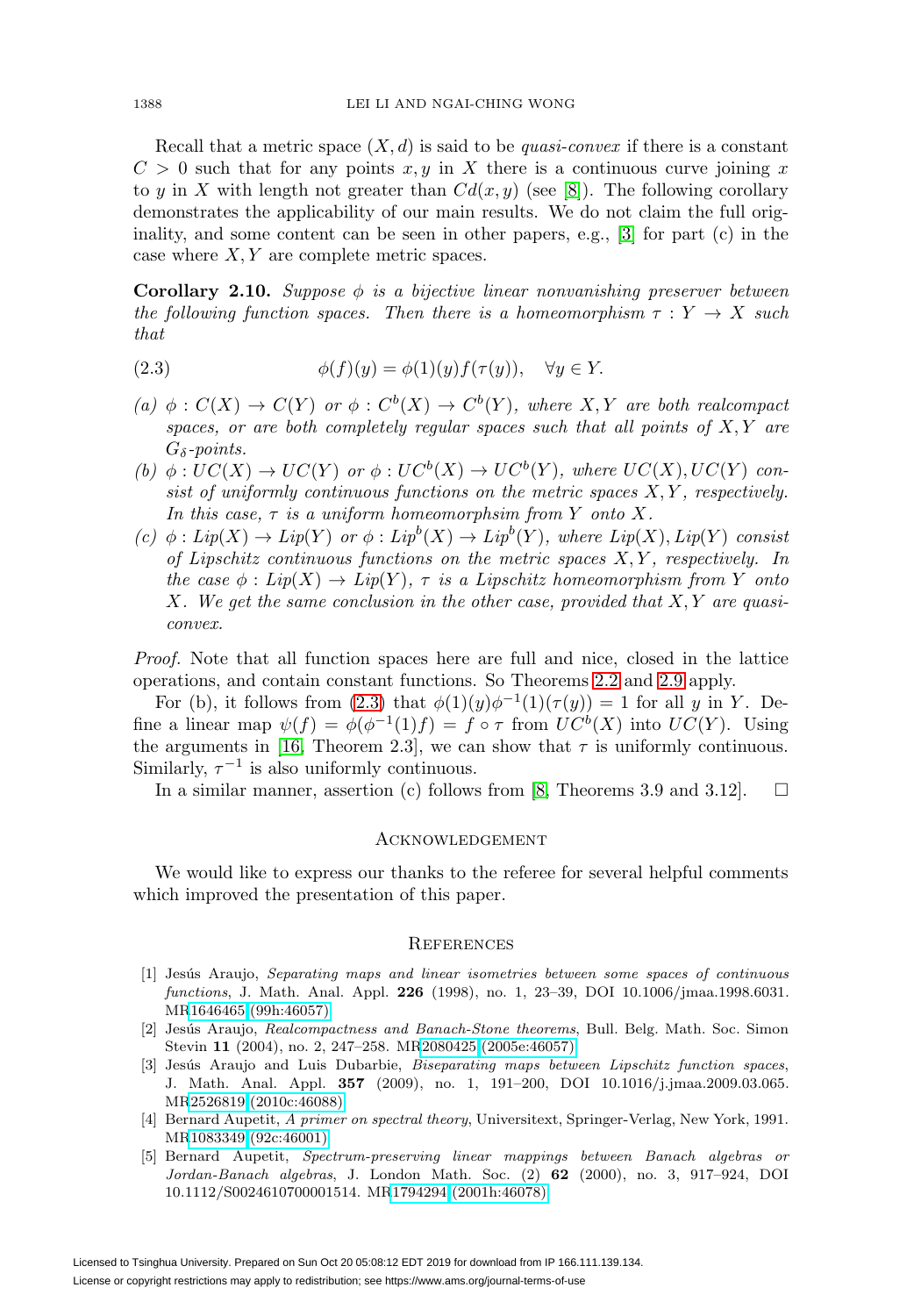Recall that a metric space  $(X, d)$  is said to be *quasi-convex* if there is a constant  $C > 0$  such that for any points x, y in X there is a continuous curve joining x to y in X with length not greater than  $Cd(x, y)$  (see [\[8\]](#page-8-11)). The following corollary demonstrates the applicability of our main results. We do not claim the full originality, and some content can be seen in other papers, e.g., [\[3\]](#page-7-4) for part (c) in the case where  $X, Y$  are complete metric spaces.

**Corollary 2.10.** Suppose  $\phi$  is a bijective linear nonvanishing preserver between the following function spaces. Then there is a homeomorphism  $\tau : Y \to X$  such that

<span id="page-7-5"></span>(2.3) 
$$
\phi(f)(y) = \phi(1)(y)f(\tau(y)), \quad \forall y \in Y.
$$

- (a)  $\phi: C(X) \to C(Y)$  or  $\phi: C^b(X) \to C^b(Y)$ , where X, Y are both realcompact spaces, or are both completely regular spaces such that all points of  $X, Y$  are  $G_{\delta}$ -points.
- (b)  $\phi: UC(X) \to UC(Y)$  or  $\phi:UC^b(X) \to UC^b(Y)$ , where  $UC(X),UC(Y)$  consist of uniformly continuous functions on the metric spaces  $X, Y$ , respectively. In this case,  $\tau$  is a uniform homeomorphsim from Y onto X.
- (c)  $\phi: Lip(X) \to Lip(Y)$  or  $\phi: Lip^b(X) \to Lip^b(Y)$ , where  $Lip(X), Lip(Y)$  consist of Lipschitz continuous functions on the metric spaces  $X, Y$ , respectively. In the case  $\phi: Lip(X) \to Lip(Y)$ ,  $\tau$  is a Lipschitz homeomorphism from Y onto X. We get the same conclusion in the other case, provided that  $X, Y$  are quasiconvex.

Proof. Note that all function spaces here are full and nice, closed in the lattice operations, and contain constant functions. So Theorems [2.2](#page-3-0) and [2.9](#page-6-0) apply.

For (b), it follows from [\(2.3\)](#page-7-5) that  $\phi(1)(y)\phi^{-1}(1)(\tau(y)) = 1$  for all y in Y. Define a linear map  $\psi(f) = \phi(\phi^{-1}(1)f) = f \circ \tau$  from  $UC^b(X)$  into  $UC(Y)$ . Using the arguments in [\[16,](#page-8-12) Theorem 2.3], we can show that  $\tau$  is uniformly continuous. Similarly,  $\tau^{-1}$  is also uniformly continuous.

In a similar manner, assertion  $(c)$  follows from  $[8,$  Theorems 3.9 and 3.12].  $\Box$ 

## Acknowledgement

We would like to express our thanks to the referee for several helpful comments which improved the presentation of this paper.

#### **REFERENCES**

- <span id="page-7-2"></span>[1] Jesús Araujo, Separating maps and linear isometries between some spaces of continuous functions, J. Math. Anal. Appl. **226** (1998), no. 1, 23–39, DOI 10.1006/jmaa.1998.6031. M[R1646465 \(99h:46057\)](http://www.ams.org/mathscinet-getitem?mr=1646465)
- <span id="page-7-3"></span>[2] Jesús Araujo, Realcompactness and Banach-Stone theorems, Bull. Belg. Math. Soc. Simon Stevin **11** (2004), no. 2, 247–258. M[R2080425 \(2005e:46057\)](http://www.ams.org/mathscinet-getitem?mr=2080425)
- <span id="page-7-4"></span>[3] Jesús Araujo and Luis Dubarbie, Biseparating maps between Lipschitz function spaces, J. Math. Anal. Appl. **357** (2009), no. 1, 191–200, DOI 10.1016/j.jmaa.2009.03.065. M[R2526819 \(2010c:46088\)](http://www.ams.org/mathscinet-getitem?mr=2526819)
- <span id="page-7-0"></span>[4] Bernard Aupetit, A primer on spectral theory, Universitext, Springer-Verlag, New York, 1991. M[R1083349 \(92c:46001\)](http://www.ams.org/mathscinet-getitem?mr=1083349)
- <span id="page-7-1"></span>[5] Bernard Aupetit, Spectrum-preserving linear mappings between Banach algebras or Jordan-Banach algebras, J. London Math. Soc. (2) **62** (2000), no. 3, 917–924, DOI 10.1112/S0024610700001514. M[R1794294 \(2001h:46078\)](http://www.ams.org/mathscinet-getitem?mr=1794294)